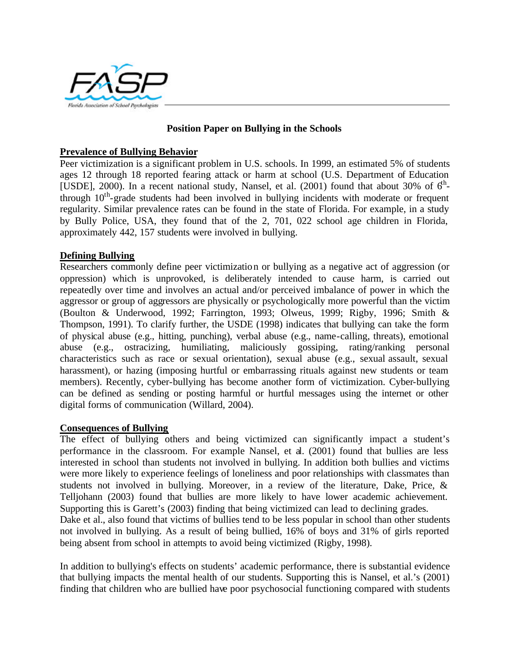

## **Position Paper on Bullying in the Schools**

#### **Prevalence of Bullying Behavior**

Peer victimization is a significant problem in U.S. schools. In 1999, an estimated 5% of students ages 12 through 18 reported fearing attack or harm at school (U.S. Department of Education [USDE], 2000). In a recent national study, Nansel, et al. (2001) found that about 30% of  $6<sup>h</sup>$ through  $10<sup>th</sup>$ -grade students had been involved in bullying incidents with moderate or frequent regularity. Similar prevalence rates can be found in the state of Florida. For example, in a study by Bully Police, USA, they found that of the 2, 701, 022 school age children in Florida, approximately 442, 157 students were involved in bullying.

### **Defining Bullying**

Researchers commonly define peer victimization or bullying as a negative act of aggression (or oppression) which is unprovoked, is deliberately intended to cause harm, is carried out repeatedly over time and involves an actual and/or perceived imbalance of power in which the aggressor or group of aggressors are physically or psychologically more powerful than the victim (Boulton & Underwood, 1992; Farrington, 1993; Olweus, 1999; Rigby, 1996; Smith & Thompson, 1991). To clarify further, the USDE (1998) indicates that bullying can take the form of physical abuse (e.g., hitting, punching), verbal abuse (e.g., name-calling, threats), emotional abuse (e.g., ostracizing, humiliating, maliciously gossiping, rating/ranking personal characteristics such as race or sexual orientation), sexual abuse (e.g., sexual assault, sexual harassment), or hazing (imposing hurtful or embarrassing rituals against new students or team members). Recently, cyber-bullying has become another form of victimization. Cyber-bullying can be defined as sending or posting harmful or hurtful messages using the internet or other digital forms of communication (Willard, 2004).

#### **Consequences of Bullying**

The effect of bullying others and being victimized can significantly impact a student's performance in the classroom. For example Nansel, et al. (2001) found that bullies are less interested in school than students not involved in bullying. In addition both bullies and victims were more likely to experience feelings of loneliness and poor relationships with classmates than students not involved in bullying. Moreover, in a review of the literature, Dake, Price, & Telljohann (2003) found that bullies are more likely to have lower academic achievement. Supporting this is Garett's (2003) finding that being victimized can lead to declining grades. Dake et al., also found that victims of bullies tend to be less popular in school than other students

not involved in bullying. As a result of being bullied, 16% of boys and 31% of girls reported being absent from school in attempts to avoid being victimized (Rigby, 1998).

In addition to bullying's effects on students' academic performance, there is substantial evidence that bullying impacts the mental health of our students. Supporting this is Nansel, et al.'s (2001) finding that children who are bullied have poor psychosocial functioning compared with students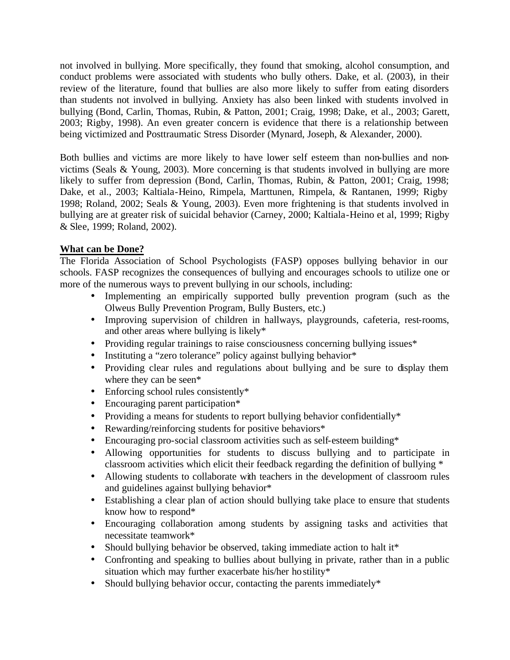not involved in bullying. More specifically, they found that smoking, alcohol consumption, and conduct problems were associated with students who bully others. Dake, et al. (2003), in their review of the literature, found that bullies are also more likely to suffer from eating disorders than students not involved in bullying. Anxiety has also been linked with students involved in bullying (Bond, Carlin, Thomas, Rubin, & Patton, 2001; Craig, 1998; Dake, et al., 2003; Garett, 2003; Rigby, 1998). An even greater concern is evidence that there is a relationship between being victimized and Posttraumatic Stress Disorder (Mynard, Joseph, & Alexander, 2000).

Both bullies and victims are more likely to have lower self esteem than non-bullies and nonvictims (Seals & Young, 2003). More concerning is that students involved in bullying are more likely to suffer from depression (Bond, Carlin, Thomas, Rubin, & Patton, 2001; Craig, 1998; Dake, et al., 2003; Kaltiala-Heino, Rimpela, Marttunen, Rimpela, & Rantanen, 1999; Rigby 1998; Roland, 2002; Seals & Young, 2003). Even more frightening is that students involved in bullying are at greater risk of suicidal behavior (Carney, 2000; Kaltiala-Heino et al, 1999; Rigby & Slee, 1999; Roland, 2002).

# **What can be Done?**

The Florida Association of School Psychologists (FASP) opposes bullying behavior in our schools. FASP recognizes the consequences of bullying and encourages schools to utilize one or more of the numerous ways to prevent bullying in our schools, including:

- Implementing an empirically supported bully prevention program (such as the Olweus Bully Prevention Program, Bully Busters, etc.)
- Improving supervision of children in hallways, playgrounds, cafeteria, rest-rooms, and other areas where bullying is likely\*
- Providing regular trainings to raise consciousness concerning bullying issues\*
- Instituting a "zero tolerance" policy against bullying behavior\*
- Providing clear rules and regulations about bullying and be sure to display them where they can be seen\*
- Enforcing school rules consistently\*
- Encouraging parent participation\*
- Providing a means for students to report bullying behavior confidentially\*
- Rewarding/reinforcing students for positive behaviors\*
- Encouraging pro-social classroom activities such as self-esteem building\*
- Allowing opportunities for students to discuss bullying and to participate in classroom activities which elicit their feedback regarding the definition of bullying \*
- Allowing students to collaborate with teachers in the development of classroom rules and guidelines against bullying behavior\*
- Establishing a clear plan of action should bullying take place to ensure that students know how to respond\*
- Encouraging collaboration among students by assigning tasks and activities that necessitate teamwork\*
- Should bullying behavior be observed, taking immediate action to halt it\*
- Confronting and speaking to bullies about bullying in private, rather than in a public situation which may further exacerbate his/her hostility\*
- Should bullying behavior occur, contacting the parents immediately\*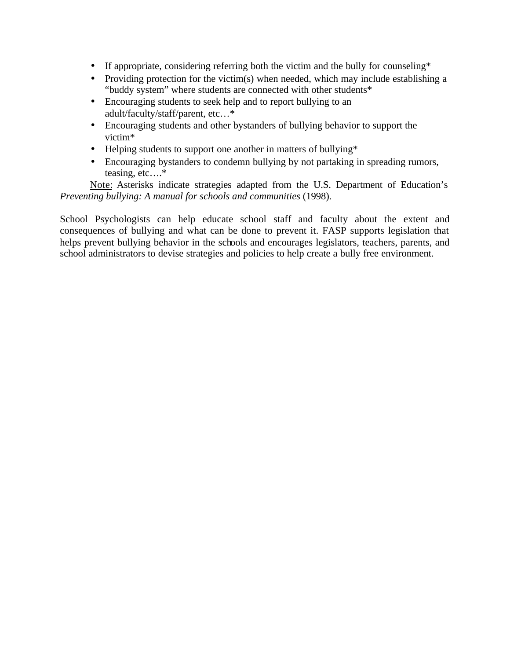- If appropriate, considering referring both the victim and the bully for counseling\*
- Providing protection for the victim(s) when needed, which may include establishing a "buddy system" where students are connected with other students\*
- Encouraging students to seek help and to report bullying to an adult/faculty/staff/parent, etc…\*
- Encouraging students and other bystanders of bullying behavior to support the victim\*
- Helping students to support one another in matters of bullying\*
- Encouraging bystanders to condemn bullying by not partaking in spreading rumors, teasing, etc….\*

Note: Asterisks indicate strategies adapted from the U.S. Department of Education's *Preventing bullying: A manual for schools and communities* (1998).

School Psychologists can help educate school staff and faculty about the extent and consequences of bullying and what can be done to prevent it. FASP supports legislation that helps prevent bullying behavior in the schools and encourages legislators, teachers, parents, and school administrators to devise strategies and policies to help create a bully free environment.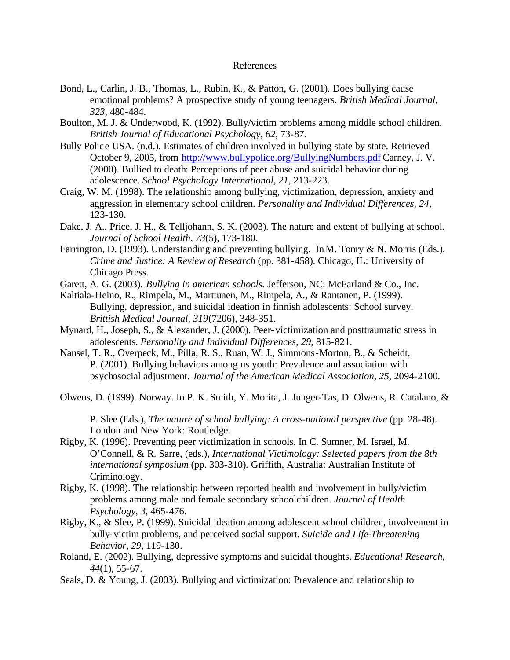#### References

- Bond, L., Carlin, J. B., Thomas, L., Rubin, K., & Patton, G. (2001). Does bullying cause emotional problems? A prospective study of young teenagers. *British Medical Journal, 323,* 480-484.
- Boulton, M. J. & Underwood, K. (1992). Bully/victim problems among middle school children. *British Journal of Educational Psychology, 62,* 73-87.
- Bully Police USA. (n.d.). Estimates of children involved in bullying state by state. Retrieved October 9, 2005, from http://www.bullypolice.org/BullyingNumbers.pdf Carney, J. V. (2000). Bullied to death: Perceptions of peer abuse and suicidal behavior during adolescence. *School Psychology International, 21,* 213-223.
- Craig, W. M. (1998). The relationship among bullying, victimization, depression, anxiety and aggression in elementary school children. *Personality and Individual Differences, 24,*  123-130.
- Dake, J. A., Price, J. H., & Telljohann, S. K. (2003). The nature and extent of bullying at school. *Journal of School Health, 73*(5), 173-180.
- Farrington, D. (1993). Understanding and preventing bullying. In M. Tonry & N. Morris (Eds.), *Crime and Justice: A Review of Research* (pp. 381-458). Chicago, IL: University of Chicago Press.
- Garett, A. G. (2003). *Bullying in american schools*. Jefferson, NC: McFarland & Co., Inc.
- Kaltiala-Heino, R., Rimpela, M., Marttunen, M., Rimpela, A., & Rantanen, P. (1999). Bullying, depression, and suicidal ideation in finnish adolescents: School survey. *Brittish Medical Journal, 319*(7206), 348-351.
- Mynard, H., Joseph, S., & Alexander, J. (2000). Peer-victimization and posttraumatic stress in adolescents. *Personality and Individual Differences, 29*, 815-821.
- Nansel, T. R., Overpeck, M., Pilla, R. S., Ruan, W. J., Simmons-Morton, B., & Scheidt, P. (2001). Bullying behaviors among us youth: Prevalence and association with psychosocial adjustment. *Journal of the American Medical Association, 25,* 2094-2100.
- Olweus, D. (1999). Norway. In P. K. Smith, Y. Morita, J. Junger-Tas, D. Olweus, R. Catalano, &

P. Slee (Eds.), *The nature of school bullying: A cross-national perspective* (pp. 28-48). London and New York: Routledge.

- Rigby, K. (1996). Preventing peer victimization in schools. In C. Sumner, M. Israel, M. O'Connell, & R. Sarre, (eds.), *International Victimology: Selected papers from the 8th international symposium* (pp. 303-310)*.* Griffith, Australia: Australian Institute of Criminology.
- Rigby, K. (1998). The relationship between reported health and involvement in bully/victim problems among male and female secondary schoolchildren. *Journal of Health Psychology, 3,* 465-476.
- Rigby, K., & Slee, P. (1999). Suicidal ideation among adolescent school children, involvement in bully-victim problems, and perceived social support. *Suicide and Life-Threatening Behavior, 29,* 119-130.
- Roland, E. (2002). Bullying, depressive symptoms and suicidal thoughts. *Educational Research, 44*(1), 55-67.
- Seals, D. & Young, J. (2003). Bullying and victimization: Prevalence and relationship to